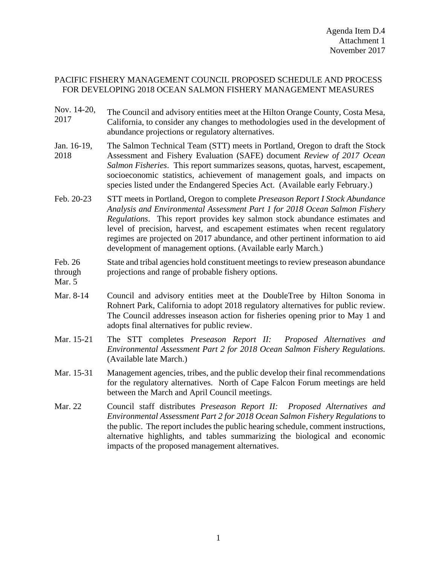## PACIFIC FISHERY MANAGEMENT COUNCIL PROPOSED SCHEDULE AND PROCESS FOR DEVELOPING 2018 OCEAN SALMON FISHERY MANAGEMENT MEASURES

- Nov. 14-20, Nov. 14-20, The Council and advisory entities meet at the Hilton Orange County, Costa Mesa,<br>2017 Colifornia to consider any changes to mathodologies used in the development of California, to consider any changes to methodologies used in the development of abundance projections or regulatory alternatives.
- Jan. 16-19, 2018 The Salmon Technical Team (STT) meets in Portland, Oregon to draft the Stock Assessment and Fishery Evaluation (SAFE) document *Review of 2017 Ocean Salmon Fisheries*. This report summarizes seasons, quotas, harvest, escapement, socioeconomic statistics, achievement of management goals, and impacts on species listed under the Endangered Species Act. (Available early February.)
- Feb. 20-23 STT meets in Portland, Oregon to complete *Preseason Report I Stock Abundance Analysis and Environmental Assessment Part 1 for 2018 Ocean Salmon Fishery Regulations*. This report provides key salmon stock abundance estimates and level of precision, harvest, and escapement estimates when recent regulatory regimes are projected on 2017 abundance, and other pertinent information to aid development of management options. (Available early March.)

## Feb. 26 through State and tribal agencies hold constituent meetings to review preseason abundance projections and range of probable fishery options.

- Mar. 5
- Mar. 8-14 Council and advisory entities meet at the DoubleTree by Hilton Sonoma in Rohnert Park, California to adopt 2018 regulatory alternatives for public review. The Council addresses inseason action for fisheries opening prior to May 1 and adopts final alternatives for public review.
- Mar. 15-21 The STT completes *Preseason Report II: Proposed Alternatives and Environmental Assessment Part 2 for 2018 Ocean Salmon Fishery Regulations.* (Available late March.)
- Mar. 15-31 Management agencies, tribes, and the public develop their final recommendations for the regulatory alternatives. North of Cape Falcon Forum meetings are held between the March and April Council meetings.
- Mar. 22 Council staff distributes *Preseason Report II: Proposed Alternatives and Environmental Assessment Part 2 for 2018 Ocean Salmon Fishery Regulations* to the public. The report includes the public hearing schedule, comment instructions, alternative highlights, and tables summarizing the biological and economic impacts of the proposed management alternatives.